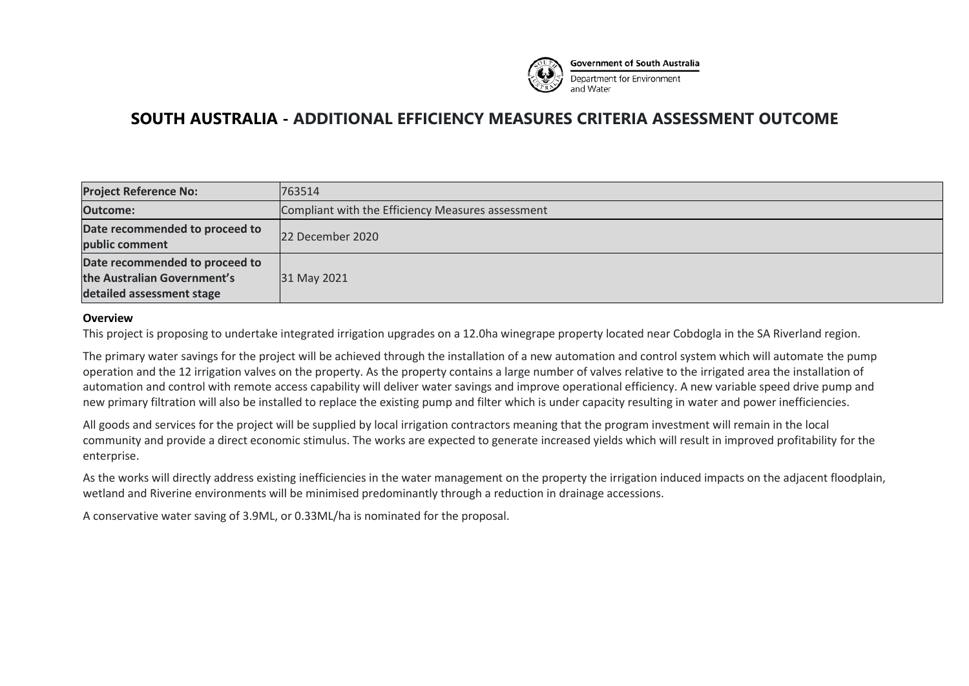

**SOUTH AUSTRALIA - ADDITIONAL EFFICIENCY MEASURES CRITERIA ASSESSMENT OUTCOME**

| <b>Project Reference No:</b>                                                               | 763514                                            |
|--------------------------------------------------------------------------------------------|---------------------------------------------------|
| <b>Outcome:</b>                                                                            | Compliant with the Efficiency Measures assessment |
| Date recommended to proceed to<br>public comment                                           | 22 December 2020                                  |
| Date recommended to proceed to<br>the Australian Government's<br>detailed assessment stage | 31 May 2021                                       |

#### **Overview**

This project is proposing to undertake integrated irrigation upgrades on a 12.0ha winegrape property located near Cobdogla in the SA Riverland region.

The primary water savings for the project will be achieved through the installation of a new automation and control system which will automate the pump operation and the 12 irrigation valves on the property. As the property contains a large number of valves relative to the irrigated area the installation of automation and control with remote access capability will deliver water savings and improve operational efficiency. A new variable speed drive pump and new primary filtration will also be installed to replace the existing pump and filter which is under capacity resulting in water and power inefficiencies.

All goods and services for the project will be supplied by local irrigation contractors meaning that the program investment will remain in the local community and provide a direct economic stimulus. The works are expected to generate increased yields which will result in improved profitability for the enterprise.

As the works will directly address existing inefficiencies in the water management on the property the irrigation induced impacts on the adjacent floodplain, wetland and Riverine environments will be minimised predominantly through a reduction in drainage accessions.

A conservative water saving of 3.9ML, or 0.33ML/ha is nominated for the proposal.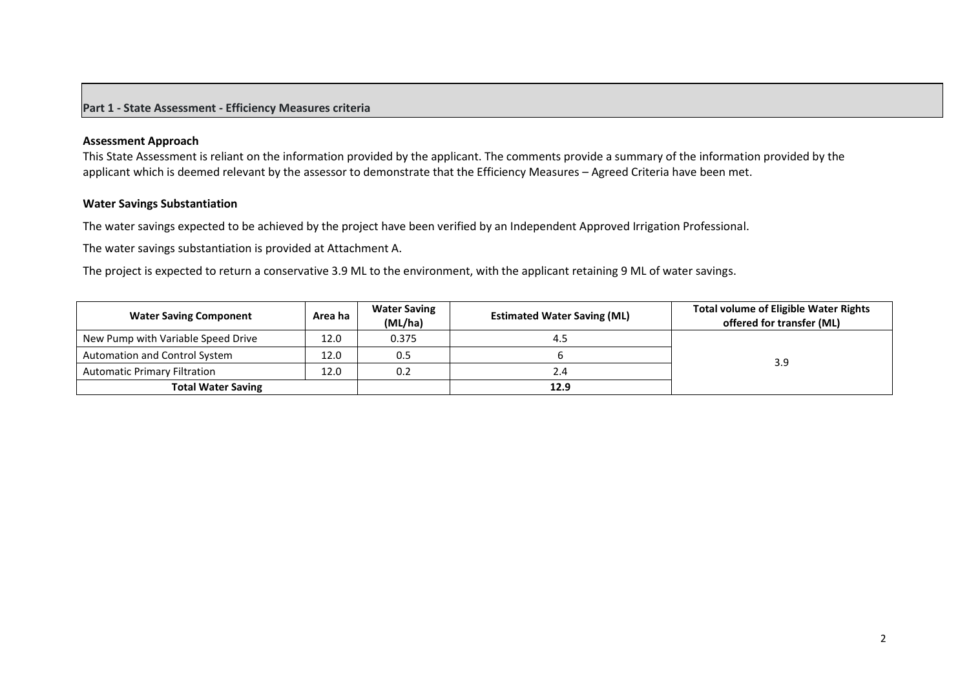## **Part 1 - State Assessment - Efficiency Measures criteria**

#### **Assessment Approach**

This State Assessment is reliant on the information provided by the applicant. The comments provide a summary of the information provided by the applicant which is deemed relevant by the assessor to demonstrate that the Efficiency Measures – Agreed Criteria have been met.

#### **Water Savings Substantiation**

The water savings expected to be achieved by the project have been verified by an Independent Approved Irrigation Professional.

The water savings substantiation is provided at Attachment A.

The project is expected to return a conservative 3.9 ML to the environment, with the applicant retaining 9 ML of water savings.

| <b>Water Saving Component</b>       | Area ha | <b>Water Saving</b><br>(ML/ha) | <b>Estimated Water Saving (ML)</b> | <b>Total volume of Eligible Water Rights</b><br>offered for transfer (ML) |
|-------------------------------------|---------|--------------------------------|------------------------------------|---------------------------------------------------------------------------|
| New Pump with Variable Speed Drive  | 12.0    | 0.375                          | 4.5                                |                                                                           |
| Automation and Control System       | 12.0    | 0.5                            |                                    | 3.9                                                                       |
| <b>Automatic Primary Filtration</b> | 12.0    | 0.2                            | 2.4                                |                                                                           |
| <b>Total Water Saving</b>           |         |                                | 12.9                               |                                                                           |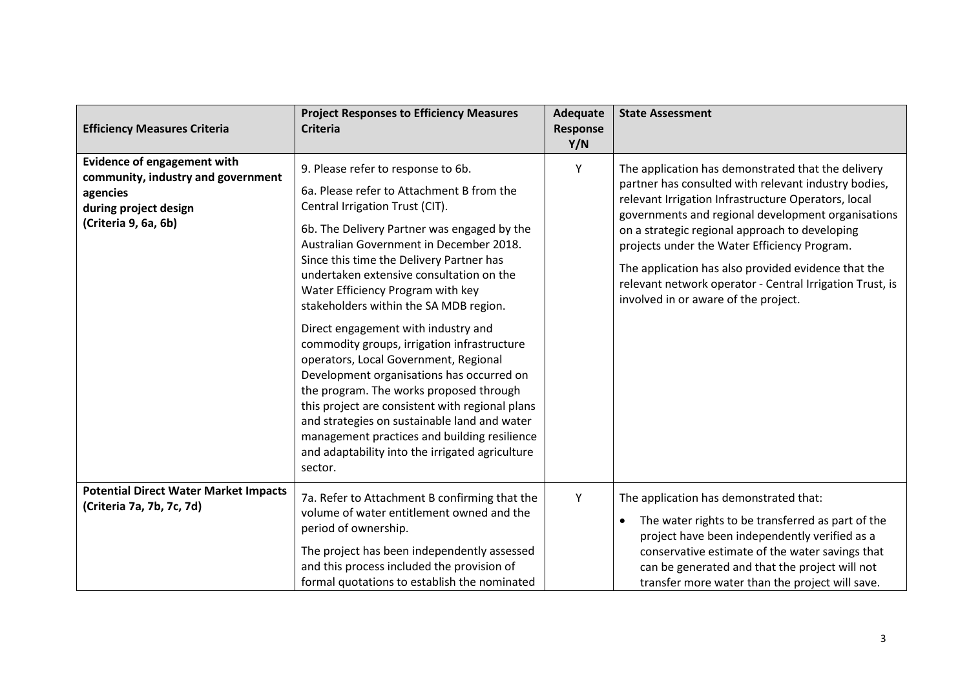| <b>Efficiency Measures Criteria</b>                                                                                                   | <b>Project Responses to Efficiency Measures</b><br><b>Criteria</b>                                                                                                                                                                                                                                                                                                                                                                                                                                                                                                                                                                                                                                                                                                                                                          | <b>Adequate</b><br>Response<br>Y/N | <b>State Assessment</b>                                                                                                                                                                                                                                                                                                                                                                                                                                                              |
|---------------------------------------------------------------------------------------------------------------------------------------|-----------------------------------------------------------------------------------------------------------------------------------------------------------------------------------------------------------------------------------------------------------------------------------------------------------------------------------------------------------------------------------------------------------------------------------------------------------------------------------------------------------------------------------------------------------------------------------------------------------------------------------------------------------------------------------------------------------------------------------------------------------------------------------------------------------------------------|------------------------------------|--------------------------------------------------------------------------------------------------------------------------------------------------------------------------------------------------------------------------------------------------------------------------------------------------------------------------------------------------------------------------------------------------------------------------------------------------------------------------------------|
| <b>Evidence of engagement with</b><br>community, industry and government<br>agencies<br>during project design<br>(Criteria 9, 6a, 6b) | 9. Please refer to response to 6b.<br>6a. Please refer to Attachment B from the<br>Central Irrigation Trust (CIT).<br>6b. The Delivery Partner was engaged by the<br>Australian Government in December 2018.<br>Since this time the Delivery Partner has<br>undertaken extensive consultation on the<br>Water Efficiency Program with key<br>stakeholders within the SA MDB region.<br>Direct engagement with industry and<br>commodity groups, irrigation infrastructure<br>operators, Local Government, Regional<br>Development organisations has occurred on<br>the program. The works proposed through<br>this project are consistent with regional plans<br>and strategies on sustainable land and water<br>management practices and building resilience<br>and adaptability into the irrigated agriculture<br>sector. | Υ                                  | The application has demonstrated that the delivery<br>partner has consulted with relevant industry bodies,<br>relevant Irrigation Infrastructure Operators, local<br>governments and regional development organisations<br>on a strategic regional approach to developing<br>projects under the Water Efficiency Program.<br>The application has also provided evidence that the<br>relevant network operator - Central Irrigation Trust, is<br>involved in or aware of the project. |
| <b>Potential Direct Water Market Impacts</b><br>(Criteria 7a, 7b, 7c, 7d)                                                             | 7a. Refer to Attachment B confirming that the<br>volume of water entitlement owned and the<br>period of ownership.<br>The project has been independently assessed<br>and this process included the provision of<br>formal quotations to establish the nominated                                                                                                                                                                                                                                                                                                                                                                                                                                                                                                                                                             | Y                                  | The application has demonstrated that:<br>The water rights to be transferred as part of the<br>$\bullet$<br>project have been independently verified as a<br>conservative estimate of the water savings that<br>can be generated and that the project will not<br>transfer more water than the project will save.                                                                                                                                                                    |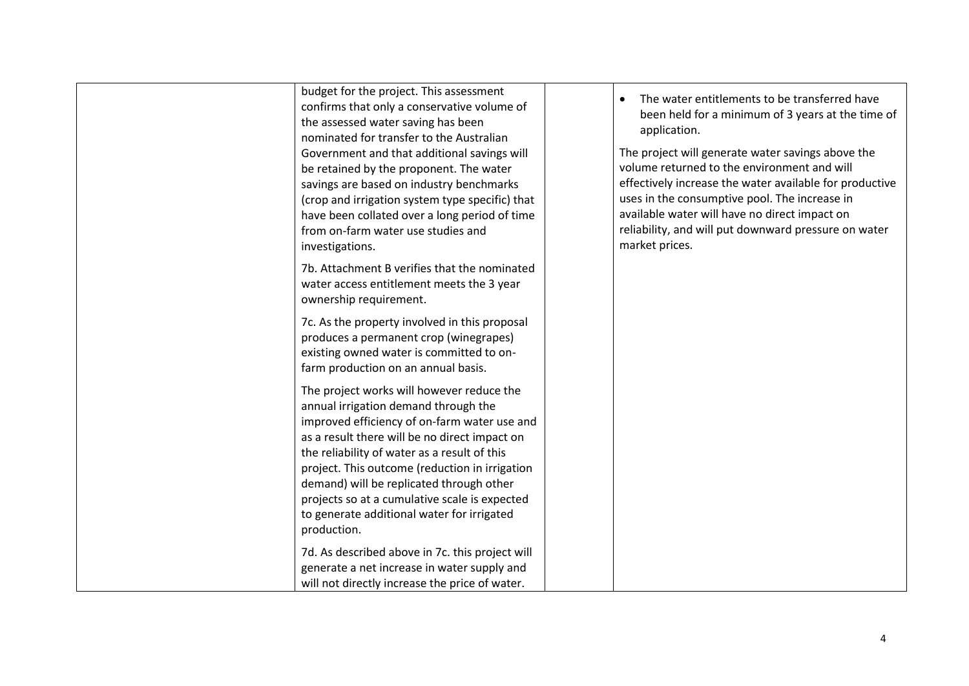| budget for the project. This assessment<br>confirms that only a conservative volume of<br>the assessed water saving has been<br>nominated for transfer to the Australian<br>Government and that additional savings will<br>be retained by the proponent. The water<br>savings are based on industry benchmarks<br>(crop and irrigation system type specific) that<br>have been collated over a long period of time<br>from on-farm water use studies and<br>investigations. | The water entitlements to be transferred have<br>been held for a minimum of 3 years at the time of<br>application.<br>The project will generate water savings above the<br>volume returned to the environment and will<br>effectively increase the water available for productive<br>uses in the consumptive pool. The increase in<br>available water will have no direct impact on<br>reliability, and will put downward pressure on water<br>market prices. |
|-----------------------------------------------------------------------------------------------------------------------------------------------------------------------------------------------------------------------------------------------------------------------------------------------------------------------------------------------------------------------------------------------------------------------------------------------------------------------------|---------------------------------------------------------------------------------------------------------------------------------------------------------------------------------------------------------------------------------------------------------------------------------------------------------------------------------------------------------------------------------------------------------------------------------------------------------------|
| 7b. Attachment B verifies that the nominated<br>water access entitlement meets the 3 year<br>ownership requirement.                                                                                                                                                                                                                                                                                                                                                         |                                                                                                                                                                                                                                                                                                                                                                                                                                                               |
| 7c. As the property involved in this proposal<br>produces a permanent crop (winegrapes)<br>existing owned water is committed to on-<br>farm production on an annual basis.                                                                                                                                                                                                                                                                                                  |                                                                                                                                                                                                                                                                                                                                                                                                                                                               |
| The project works will however reduce the<br>annual irrigation demand through the<br>improved efficiency of on-farm water use and<br>as a result there will be no direct impact on<br>the reliability of water as a result of this<br>project. This outcome (reduction in irrigation<br>demand) will be replicated through other<br>projects so at a cumulative scale is expected<br>to generate additional water for irrigated<br>production.                              |                                                                                                                                                                                                                                                                                                                                                                                                                                                               |
| 7d. As described above in 7c. this project will<br>generate a net increase in water supply and<br>will not directly increase the price of water.                                                                                                                                                                                                                                                                                                                            |                                                                                                                                                                                                                                                                                                                                                                                                                                                               |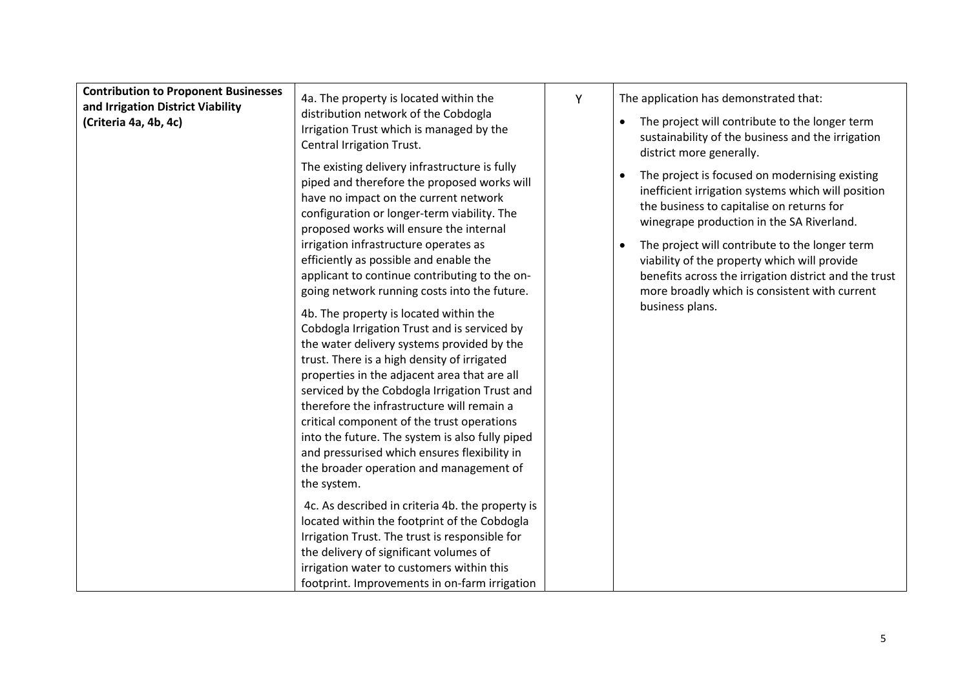| <b>Contribution to Proponent Businesses</b><br>and Irrigation District Viability<br>(Criteria 4a, 4b, 4c) | 4a. The property is located within the<br>distribution network of the Cobdogla<br>Irrigation Trust which is managed by the<br>Central Irrigation Trust.                                                                                                                                                                                                                                                                                                                                                                                       | Y | The application has demonstrated that:<br>The project will contribute to the longer term<br>sustainability of the business and the irrigation<br>district more generally.                                                   |
|-----------------------------------------------------------------------------------------------------------|-----------------------------------------------------------------------------------------------------------------------------------------------------------------------------------------------------------------------------------------------------------------------------------------------------------------------------------------------------------------------------------------------------------------------------------------------------------------------------------------------------------------------------------------------|---|-----------------------------------------------------------------------------------------------------------------------------------------------------------------------------------------------------------------------------|
|                                                                                                           | The existing delivery infrastructure is fully<br>piped and therefore the proposed works will<br>have no impact on the current network<br>configuration or longer-term viability. The<br>proposed works will ensure the internal                                                                                                                                                                                                                                                                                                               |   | The project is focused on modernising existing<br>inefficient irrigation systems which will position<br>the business to capitalise on returns for<br>winegrape production in the SA Riverland.                              |
|                                                                                                           | irrigation infrastructure operates as<br>efficiently as possible and enable the<br>applicant to continue contributing to the on-<br>going network running costs into the future.                                                                                                                                                                                                                                                                                                                                                              |   | The project will contribute to the longer term<br>viability of the property which will provide<br>benefits across the irrigation district and the trust<br>more broadly which is consistent with current<br>business plans. |
|                                                                                                           | 4b. The property is located within the<br>Cobdogla Irrigation Trust and is serviced by<br>the water delivery systems provided by the<br>trust. There is a high density of irrigated<br>properties in the adjacent area that are all<br>serviced by the Cobdogla Irrigation Trust and<br>therefore the infrastructure will remain a<br>critical component of the trust operations<br>into the future. The system is also fully piped<br>and pressurised which ensures flexibility in<br>the broader operation and management of<br>the system. |   |                                                                                                                                                                                                                             |
|                                                                                                           | 4c. As described in criteria 4b. the property is<br>located within the footprint of the Cobdogla<br>Irrigation Trust. The trust is responsible for<br>the delivery of significant volumes of<br>irrigation water to customers within this<br>footprint. Improvements in on-farm irrigation                                                                                                                                                                                                                                                    |   |                                                                                                                                                                                                                             |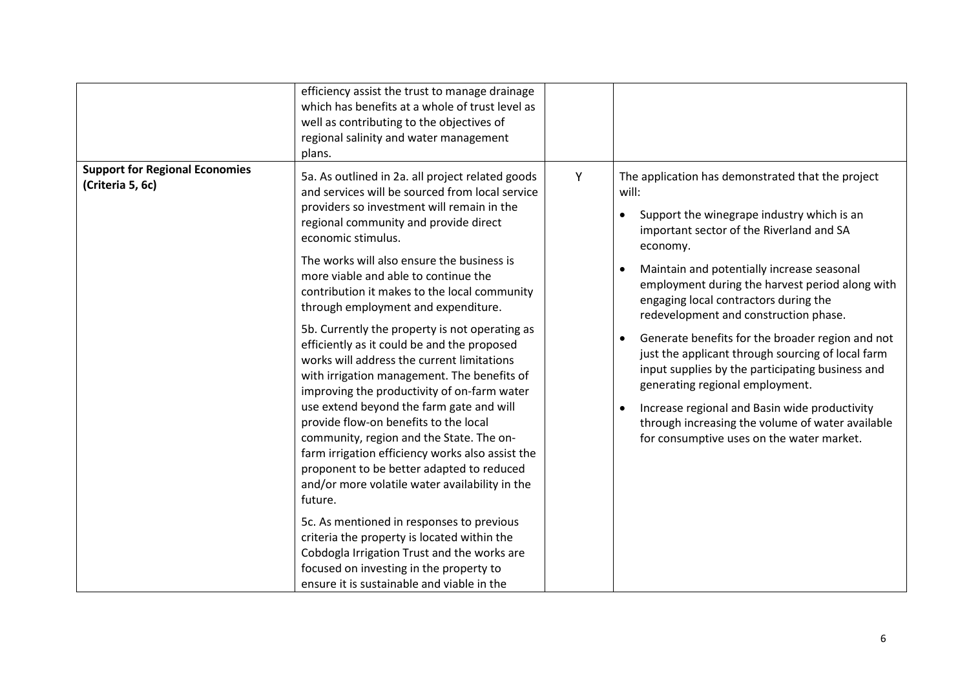|                                                           | efficiency assist the trust to manage drainage<br>which has benefits at a whole of trust level as<br>well as contributing to the objectives of<br>regional salinity and water management<br>plans.                                                                                                                                                                                                                                                                                                                                                                                                                                                                                                                                                                                                                                                                                                                                                                                                                                                                                                                                                                            |   |                                                                                                                                                                                                                                                                                                                                                                                                                                                                                                                                                                                                                                                                                                       |
|-----------------------------------------------------------|-------------------------------------------------------------------------------------------------------------------------------------------------------------------------------------------------------------------------------------------------------------------------------------------------------------------------------------------------------------------------------------------------------------------------------------------------------------------------------------------------------------------------------------------------------------------------------------------------------------------------------------------------------------------------------------------------------------------------------------------------------------------------------------------------------------------------------------------------------------------------------------------------------------------------------------------------------------------------------------------------------------------------------------------------------------------------------------------------------------------------------------------------------------------------------|---|-------------------------------------------------------------------------------------------------------------------------------------------------------------------------------------------------------------------------------------------------------------------------------------------------------------------------------------------------------------------------------------------------------------------------------------------------------------------------------------------------------------------------------------------------------------------------------------------------------------------------------------------------------------------------------------------------------|
| <b>Support for Regional Economies</b><br>(Criteria 5, 6c) | 5a. As outlined in 2a. all project related goods<br>and services will be sourced from local service<br>providers so investment will remain in the<br>regional community and provide direct<br>economic stimulus.<br>The works will also ensure the business is<br>more viable and able to continue the<br>contribution it makes to the local community<br>through employment and expenditure.<br>5b. Currently the property is not operating as<br>efficiently as it could be and the proposed<br>works will address the current limitations<br>with irrigation management. The benefits of<br>improving the productivity of on-farm water<br>use extend beyond the farm gate and will<br>provide flow-on benefits to the local<br>community, region and the State. The on-<br>farm irrigation efficiency works also assist the<br>proponent to be better adapted to reduced<br>and/or more volatile water availability in the<br>future.<br>5c. As mentioned in responses to previous<br>criteria the property is located within the<br>Cobdogla Irrigation Trust and the works are<br>focused on investing in the property to<br>ensure it is sustainable and viable in the | Y | The application has demonstrated that the project<br>will:<br>Support the winegrape industry which is an<br>important sector of the Riverland and SA<br>economy.<br>Maintain and potentially increase seasonal<br>employment during the harvest period along with<br>engaging local contractors during the<br>redevelopment and construction phase.<br>Generate benefits for the broader region and not<br>just the applicant through sourcing of local farm<br>input supplies by the participating business and<br>generating regional employment.<br>Increase regional and Basin wide productivity<br>through increasing the volume of water available<br>for consumptive uses on the water market. |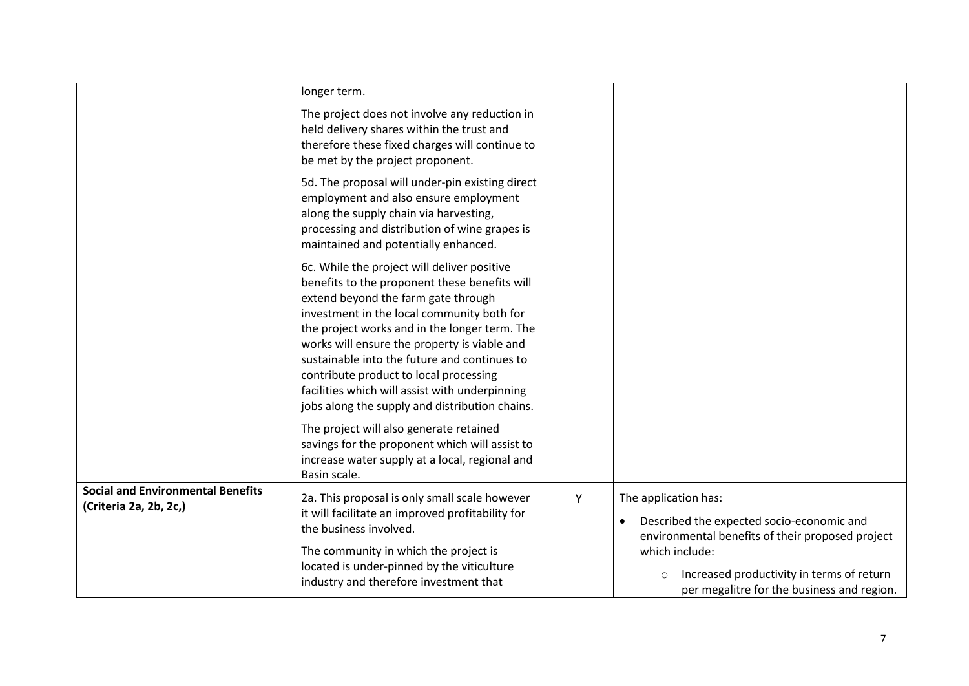|                                                                    | longer term.                                                                                                                                                                                                                                                                                                                                                                                                                                                                     |   |                                                                                                                       |
|--------------------------------------------------------------------|----------------------------------------------------------------------------------------------------------------------------------------------------------------------------------------------------------------------------------------------------------------------------------------------------------------------------------------------------------------------------------------------------------------------------------------------------------------------------------|---|-----------------------------------------------------------------------------------------------------------------------|
|                                                                    | The project does not involve any reduction in<br>held delivery shares within the trust and<br>therefore these fixed charges will continue to<br>be met by the project proponent.                                                                                                                                                                                                                                                                                                 |   |                                                                                                                       |
|                                                                    | 5d. The proposal will under-pin existing direct<br>employment and also ensure employment<br>along the supply chain via harvesting,<br>processing and distribution of wine grapes is<br>maintained and potentially enhanced.                                                                                                                                                                                                                                                      |   |                                                                                                                       |
|                                                                    | 6c. While the project will deliver positive<br>benefits to the proponent these benefits will<br>extend beyond the farm gate through<br>investment in the local community both for<br>the project works and in the longer term. The<br>works will ensure the property is viable and<br>sustainable into the future and continues to<br>contribute product to local processing<br>facilities which will assist with underpinning<br>jobs along the supply and distribution chains. |   |                                                                                                                       |
|                                                                    | The project will also generate retained<br>savings for the proponent which will assist to<br>increase water supply at a local, regional and<br>Basin scale.                                                                                                                                                                                                                                                                                                                      |   |                                                                                                                       |
| <b>Social and Environmental Benefits</b><br>(Criteria 2a, 2b, 2c,) | 2a. This proposal is only small scale however<br>it will facilitate an improved profitability for<br>the business involved.                                                                                                                                                                                                                                                                                                                                                      | Υ | The application has:<br>Described the expected socio-economic and<br>environmental benefits of their proposed project |
|                                                                    | The community in which the project is<br>located is under-pinned by the viticulture<br>industry and therefore investment that                                                                                                                                                                                                                                                                                                                                                    |   | which include:<br>Increased productivity in terms of return<br>$\circ$<br>per megalitre for the business and region.  |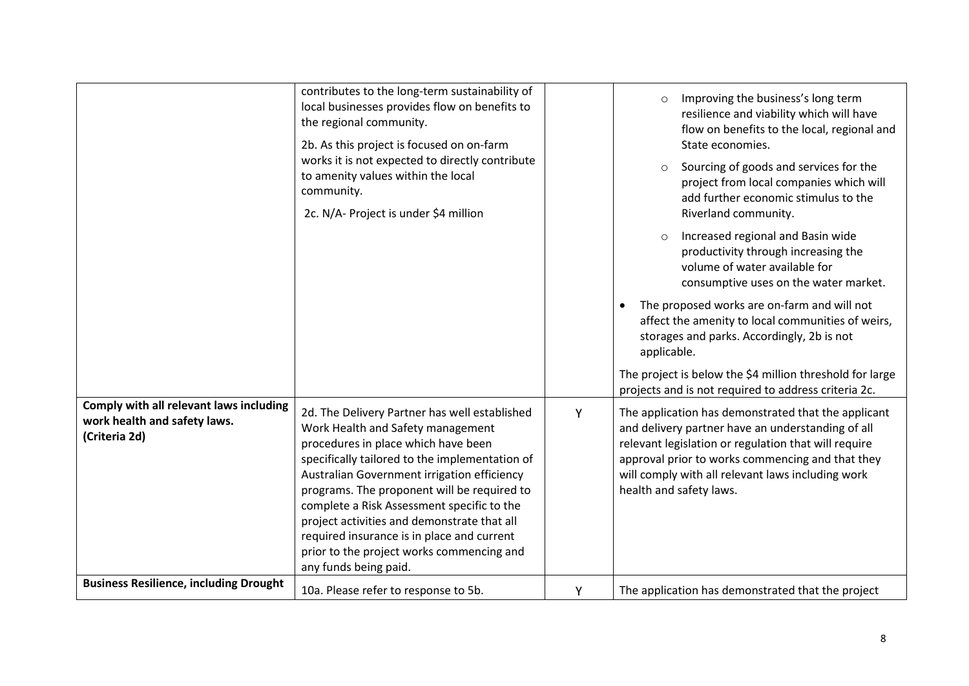|                                                                                          | contributes to the long-term sustainability of<br>local businesses provides flow on benefits to<br>the regional community.<br>2b. As this project is focused on on-farm<br>works it is not expected to directly contribute<br>to amenity values within the local<br>community.<br>2c. N/A- Project is under \$4 million                                                                                                                                                                    |   | Improving the business's long term<br>$\circ$<br>resilience and viability which will have<br>flow on benefits to the local, regional and<br>State economies.<br>Sourcing of goods and services for the<br>$\circ$<br>project from local companies which will<br>add further economic stimulus to the<br>Riverland community.<br>Increased regional and Basin wide<br>$\circ$<br>productivity through increasing the<br>volume of water available for<br>consumptive uses on the water market.<br>The proposed works are on-farm and will not<br>$\bullet$<br>affect the amenity to local communities of weirs,<br>storages and parks. Accordingly, 2b is not<br>applicable.<br>The project is below the \$4 million threshold for large<br>projects and is not required to address criteria 2c. |
|------------------------------------------------------------------------------------------|--------------------------------------------------------------------------------------------------------------------------------------------------------------------------------------------------------------------------------------------------------------------------------------------------------------------------------------------------------------------------------------------------------------------------------------------------------------------------------------------|---|-------------------------------------------------------------------------------------------------------------------------------------------------------------------------------------------------------------------------------------------------------------------------------------------------------------------------------------------------------------------------------------------------------------------------------------------------------------------------------------------------------------------------------------------------------------------------------------------------------------------------------------------------------------------------------------------------------------------------------------------------------------------------------------------------|
| Comply with all relevant laws including<br>work health and safety laws.<br>(Criteria 2d) | 2d. The Delivery Partner has well established<br>Work Health and Safety management<br>procedures in place which have been<br>specifically tailored to the implementation of<br>Australian Government irrigation efficiency<br>programs. The proponent will be required to<br>complete a Risk Assessment specific to the<br>project activities and demonstrate that all<br>required insurance is in place and current<br>prior to the project works commencing and<br>any funds being paid. | Υ | The application has demonstrated that the applicant<br>and delivery partner have an understanding of all<br>relevant legislation or regulation that will require<br>approval prior to works commencing and that they<br>will comply with all relevant laws including work<br>health and safety laws.                                                                                                                                                                                                                                                                                                                                                                                                                                                                                            |
| <b>Business Resilience, including Drought</b>                                            | 10a. Please refer to response to 5b.                                                                                                                                                                                                                                                                                                                                                                                                                                                       | Y | The application has demonstrated that the project                                                                                                                                                                                                                                                                                                                                                                                                                                                                                                                                                                                                                                                                                                                                               |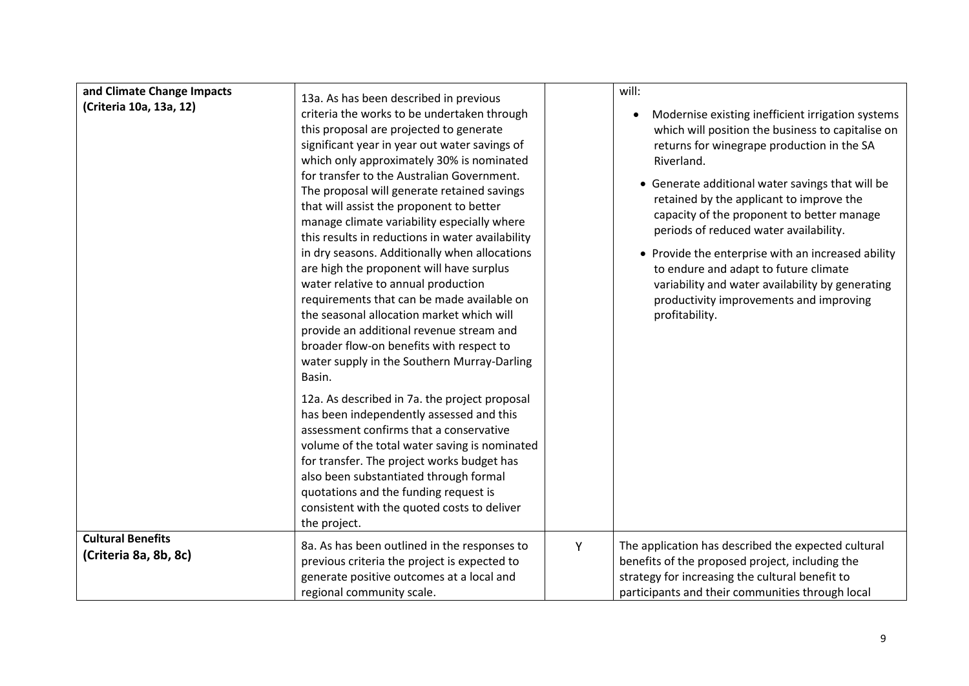| and Climate Change Impacts                        |                                                                                                                                                                                                                                                                                                                                                                                                                                                                                                                                                                                                                                                                                                                                                                                                                                                                                                                                                                                                                                                                                                                                                                                                                                                     |   | will:                                                                                                                                                                                                                                                                                                                                                                                                                                                                                                                                                                      |
|---------------------------------------------------|-----------------------------------------------------------------------------------------------------------------------------------------------------------------------------------------------------------------------------------------------------------------------------------------------------------------------------------------------------------------------------------------------------------------------------------------------------------------------------------------------------------------------------------------------------------------------------------------------------------------------------------------------------------------------------------------------------------------------------------------------------------------------------------------------------------------------------------------------------------------------------------------------------------------------------------------------------------------------------------------------------------------------------------------------------------------------------------------------------------------------------------------------------------------------------------------------------------------------------------------------------|---|----------------------------------------------------------------------------------------------------------------------------------------------------------------------------------------------------------------------------------------------------------------------------------------------------------------------------------------------------------------------------------------------------------------------------------------------------------------------------------------------------------------------------------------------------------------------------|
| (Criteria 10a, 13a, 12)                           | 13a. As has been described in previous<br>criteria the works to be undertaken through<br>this proposal are projected to generate<br>significant year in year out water savings of<br>which only approximately 30% is nominated<br>for transfer to the Australian Government.<br>The proposal will generate retained savings<br>that will assist the proponent to better<br>manage climate variability especially where<br>this results in reductions in water availability<br>in dry seasons. Additionally when allocations<br>are high the proponent will have surplus<br>water relative to annual production<br>requirements that can be made available on<br>the seasonal allocation market which will<br>provide an additional revenue stream and<br>broader flow-on benefits with respect to<br>water supply in the Southern Murray-Darling<br>Basin.<br>12a. As described in 7a. the project proposal<br>has been independently assessed and this<br>assessment confirms that a conservative<br>volume of the total water saving is nominated<br>for transfer. The project works budget has<br>also been substantiated through formal<br>quotations and the funding request is<br>consistent with the quoted costs to deliver<br>the project. |   | Modernise existing inefficient irrigation systems<br>which will position the business to capitalise on<br>returns for winegrape production in the SA<br>Riverland.<br>• Generate additional water savings that will be<br>retained by the applicant to improve the<br>capacity of the proponent to better manage<br>periods of reduced water availability.<br>• Provide the enterprise with an increased ability<br>to endure and adapt to future climate<br>variability and water availability by generating<br>productivity improvements and improving<br>profitability. |
| <b>Cultural Benefits</b><br>(Criteria 8a, 8b, 8c) | 8a. As has been outlined in the responses to<br>previous criteria the project is expected to<br>generate positive outcomes at a local and<br>regional community scale.                                                                                                                                                                                                                                                                                                                                                                                                                                                                                                                                                                                                                                                                                                                                                                                                                                                                                                                                                                                                                                                                              | Y | The application has described the expected cultural<br>benefits of the proposed project, including the<br>strategy for increasing the cultural benefit to<br>participants and their communities through local                                                                                                                                                                                                                                                                                                                                                              |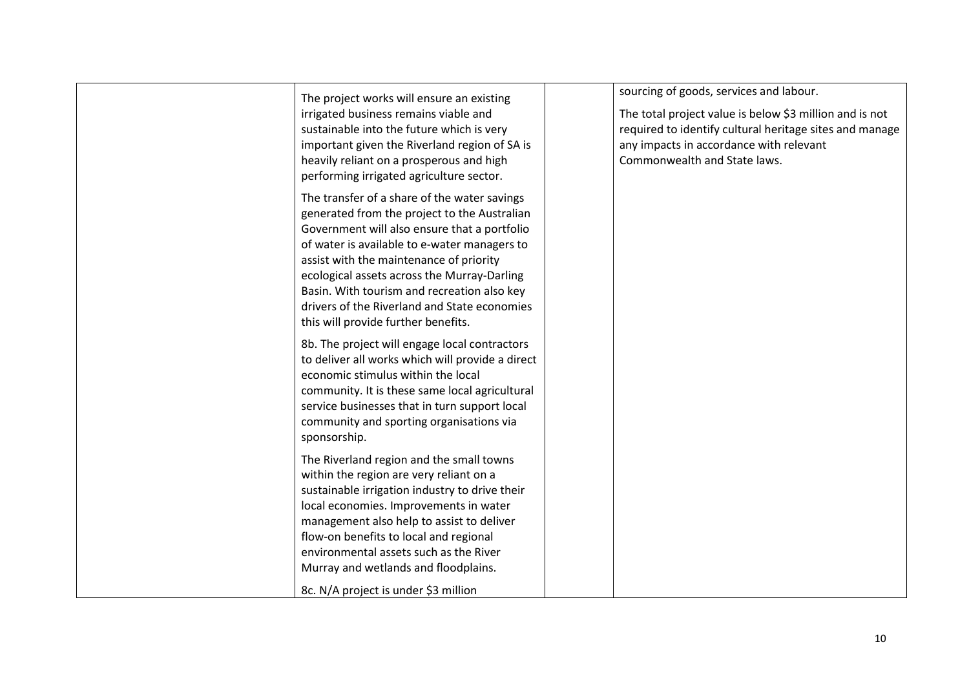| The project works will ensure an existing        | sourcing of goods, services and labour.                 |
|--------------------------------------------------|---------------------------------------------------------|
| irrigated business remains viable and            | The total project value is below \$3 million and is not |
| sustainable into the future which is very        | required to identify cultural heritage sites and manage |
| important given the Riverland region of SA is    | any impacts in accordance with relevant                 |
| heavily reliant on a prosperous and high         | Commonwealth and State laws.                            |
| performing irrigated agriculture sector.         |                                                         |
| The transfer of a share of the water savings     |                                                         |
| generated from the project to the Australian     |                                                         |
| Government will also ensure that a portfolio     |                                                         |
| of water is available to e-water managers to     |                                                         |
| assist with the maintenance of priority          |                                                         |
| ecological assets across the Murray-Darling      |                                                         |
| Basin. With tourism and recreation also key      |                                                         |
| drivers of the Riverland and State economies     |                                                         |
| this will provide further benefits.              |                                                         |
| 8b. The project will engage local contractors    |                                                         |
| to deliver all works which will provide a direct |                                                         |
| economic stimulus within the local               |                                                         |
| community. It is these same local agricultural   |                                                         |
| service businesses that in turn support local    |                                                         |
| community and sporting organisations via         |                                                         |
| sponsorship.                                     |                                                         |
| The Riverland region and the small towns         |                                                         |
| within the region are very reliant on a          |                                                         |
| sustainable irrigation industry to drive their   |                                                         |
| local economies. Improvements in water           |                                                         |
| management also help to assist to deliver        |                                                         |
| flow-on benefits to local and regional           |                                                         |
| environmental assets such as the River           |                                                         |
| Murray and wetlands and floodplains.             |                                                         |
| 8c. N/A project is under \$3 million             |                                                         |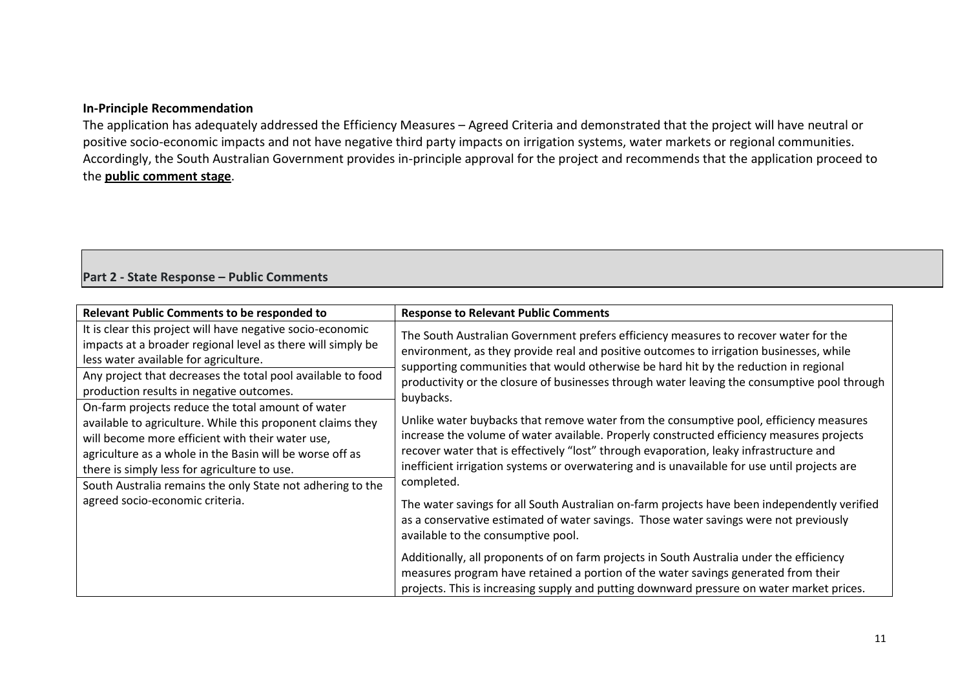## **In-Principle Recommendation**

The application has adequately addressed the Efficiency Measures – Agreed Criteria and demonstrated that the project will have neutral or positive socio-economic impacts and not have negative third party impacts on irrigation systems, water markets or regional communities. Accordingly, the South Australian Government provides in-principle approval for the project and recommends that the application proceed to the **public comment stage**.

## **Part 2 - State Response – Public Comments**

| <b>Relevant Public Comments to be responded to</b>                                                                                                                                                                                                                                                                                                                                                                                                                                                                                                                                                                                                                | <b>Response to Relevant Public Comments</b>                                                                                                                                                                                                                                                                                                                                                                                                                                                                                                                                                                                                                                                                                                                           |
|-------------------------------------------------------------------------------------------------------------------------------------------------------------------------------------------------------------------------------------------------------------------------------------------------------------------------------------------------------------------------------------------------------------------------------------------------------------------------------------------------------------------------------------------------------------------------------------------------------------------------------------------------------------------|-----------------------------------------------------------------------------------------------------------------------------------------------------------------------------------------------------------------------------------------------------------------------------------------------------------------------------------------------------------------------------------------------------------------------------------------------------------------------------------------------------------------------------------------------------------------------------------------------------------------------------------------------------------------------------------------------------------------------------------------------------------------------|
| It is clear this project will have negative socio-economic<br>impacts at a broader regional level as there will simply be<br>less water available for agriculture.<br>Any project that decreases the total pool available to food<br>production results in negative outcomes.<br>On-farm projects reduce the total amount of water<br>available to agriculture. While this proponent claims they<br>will become more efficient with their water use,<br>agriculture as a whole in the Basin will be worse off as<br>there is simply less for agriculture to use.<br>South Australia remains the only State not adhering to the<br>agreed socio-economic criteria. | The South Australian Government prefers efficiency measures to recover water for the<br>environment, as they provide real and positive outcomes to irrigation businesses, while<br>supporting communities that would otherwise be hard hit by the reduction in regional<br>productivity or the closure of businesses through water leaving the consumptive pool through<br>buybacks.<br>Unlike water buybacks that remove water from the consumptive pool, efficiency measures<br>increase the volume of water available. Properly constructed efficiency measures projects<br>recover water that is effectively "lost" through evaporation, leaky infrastructure and<br>inefficient irrigation systems or overwatering and is unavailable for use until projects are |
|                                                                                                                                                                                                                                                                                                                                                                                                                                                                                                                                                                                                                                                                   | completed.<br>The water savings for all South Australian on-farm projects have been independently verified<br>as a conservative estimated of water savings. Those water savings were not previously<br>available to the consumptive pool.<br>Additionally, all proponents of on farm projects in South Australia under the efficiency<br>measures program have retained a portion of the water savings generated from their<br>projects. This is increasing supply and putting downward pressure on water market prices.                                                                                                                                                                                                                                              |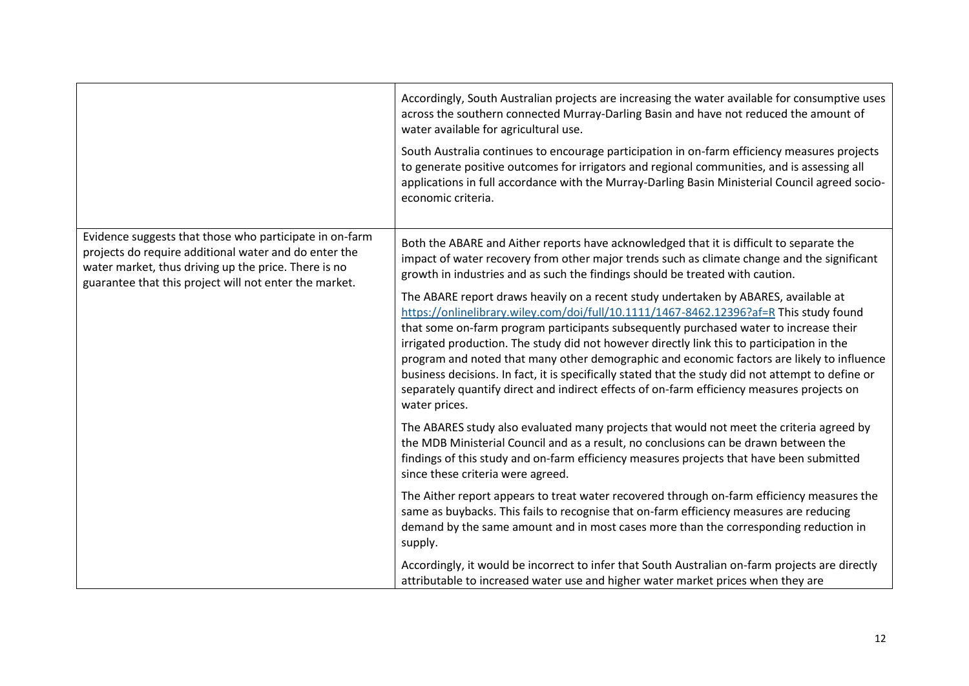|                                                                                                                                                                                                                                    | Accordingly, South Australian projects are increasing the water available for consumptive uses<br>across the southern connected Murray-Darling Basin and have not reduced the amount of<br>water available for agricultural use.<br>South Australia continues to encourage participation in on-farm efficiency measures projects<br>to generate positive outcomes for irrigators and regional communities, and is assessing all<br>applications in full accordance with the Murray-Darling Basin Ministerial Council agreed socio-<br>economic criteria.                                                                                                                                                                                                                                                                                                                                                                                                            |
|------------------------------------------------------------------------------------------------------------------------------------------------------------------------------------------------------------------------------------|---------------------------------------------------------------------------------------------------------------------------------------------------------------------------------------------------------------------------------------------------------------------------------------------------------------------------------------------------------------------------------------------------------------------------------------------------------------------------------------------------------------------------------------------------------------------------------------------------------------------------------------------------------------------------------------------------------------------------------------------------------------------------------------------------------------------------------------------------------------------------------------------------------------------------------------------------------------------|
| Evidence suggests that those who participate in on-farm<br>projects do require additional water and do enter the<br>water market, thus driving up the price. There is no<br>guarantee that this project will not enter the market. | Both the ABARE and Aither reports have acknowledged that it is difficult to separate the<br>impact of water recovery from other major trends such as climate change and the significant<br>growth in industries and as such the findings should be treated with caution.<br>The ABARE report draws heavily on a recent study undertaken by ABARES, available at<br>https://onlinelibrary.wiley.com/doi/full/10.1111/1467-8462.12396?af=R This study found<br>that some on-farm program participants subsequently purchased water to increase their<br>irrigated production. The study did not however directly link this to participation in the<br>program and noted that many other demographic and economic factors are likely to influence<br>business decisions. In fact, it is specifically stated that the study did not attempt to define or<br>separately quantify direct and indirect effects of on-farm efficiency measures projects on<br>water prices. |
|                                                                                                                                                                                                                                    | The ABARES study also evaluated many projects that would not meet the criteria agreed by<br>the MDB Ministerial Council and as a result, no conclusions can be drawn between the<br>findings of this study and on-farm efficiency measures projects that have been submitted<br>since these criteria were agreed.                                                                                                                                                                                                                                                                                                                                                                                                                                                                                                                                                                                                                                                   |
|                                                                                                                                                                                                                                    | The Aither report appears to treat water recovered through on-farm efficiency measures the<br>same as buybacks. This fails to recognise that on-farm efficiency measures are reducing<br>demand by the same amount and in most cases more than the corresponding reduction in<br>supply.                                                                                                                                                                                                                                                                                                                                                                                                                                                                                                                                                                                                                                                                            |
|                                                                                                                                                                                                                                    | Accordingly, it would be incorrect to infer that South Australian on-farm projects are directly<br>attributable to increased water use and higher water market prices when they are                                                                                                                                                                                                                                                                                                                                                                                                                                                                                                                                                                                                                                                                                                                                                                                 |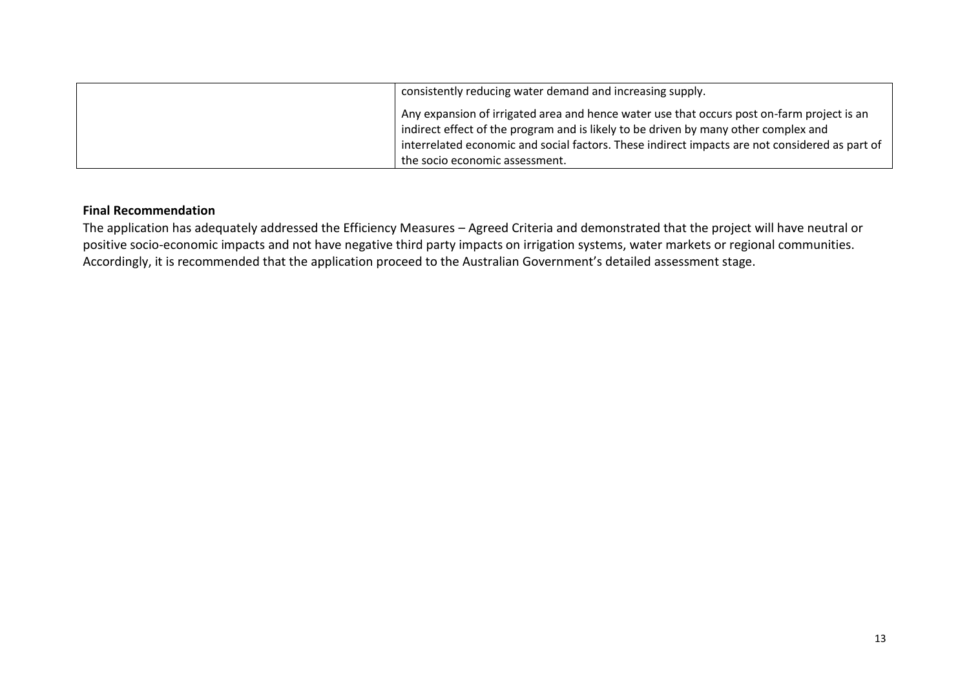| consistently reducing water demand and increasing supply.                                      |
|------------------------------------------------------------------------------------------------|
| Any expansion of irrigated area and hence water use that occurs post on-farm project is an     |
| indirect effect of the program and is likely to be driven by many other complex and            |
| interrelated economic and social factors. These indirect impacts are not considered as part of |
| the socio economic assessment.                                                                 |

## **Final Recommendation**

The application has adequately addressed the Efficiency Measures – Agreed Criteria and demonstrated that the project will have neutral or positive socio-economic impacts and not have negative third party impacts on irrigation systems, water markets or regional communities. Accordingly, it is recommended that the application proceed to the Australian Government's detailed assessment stage.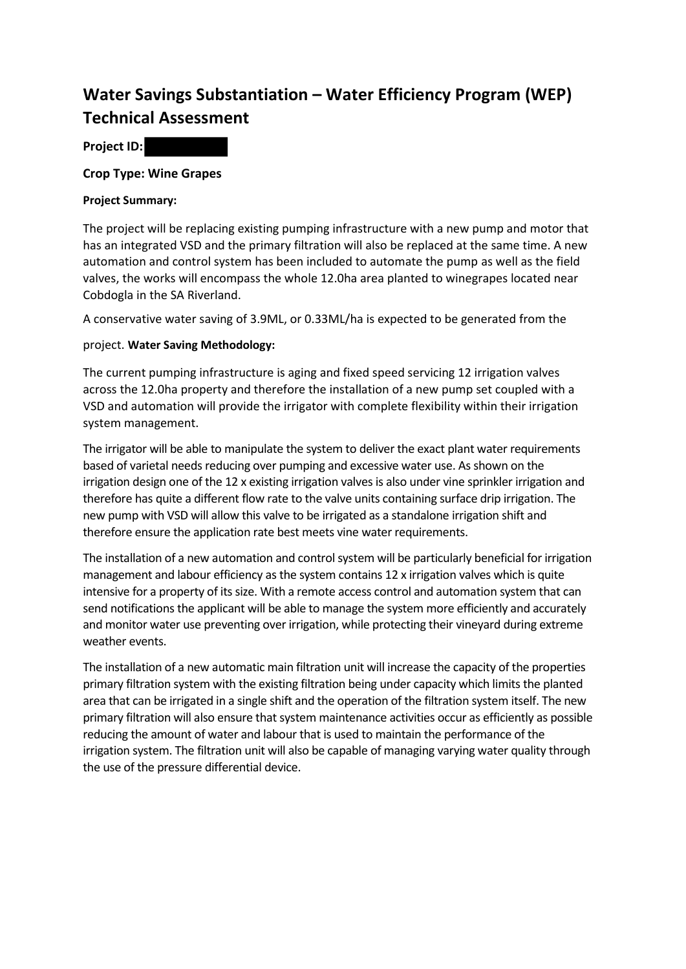# **Water Savings Substantiation – Water Efficiency Program (WEP) Technical Assessment**

**Project ID:**

**Crop Type: Wine Grapes** 

## **Project Summary:**

The project will be replacing existing pumping infrastructure with a new pump and motor that has an integrated VSD and the primary filtration will also be replaced at the same time. A new automation and control system has been included to automate the pump as well as the field valves, the works will encompass the whole 12.0ha area planted to winegrapes located near Cobdogla in the SA Riverland.

A conservative water saving of 3.9ML, or 0.33ML/ha is expected to be generated from the

## project. **Water Saving Methodology:**

The current pumping infrastructure is aging and fixed speed servicing 12 irrigation valves across the 12.0ha property and therefore the installation of a new pump set coupled with a VSD and automation will provide the irrigator with complete flexibility within their irrigation system management.

The irrigator will be able to manipulate the system to deliver the exact plant water requirements based of varietal needs reducing over pumping and excessive water use. As shown on the irrigation design one of the 12 x existing irrigation valves is also under vine sprinkler irrigation and therefore has quite a different flow rate to the valve units containing surface drip irrigation. The new pump with VSD will allow this valve to be irrigated as a standalone irrigation shift and therefore ensure the application rate best meets vine water requirements.

The installation of a new automation and control system will be particularly beneficial for irrigation management and labour efficiency as the system contains 12 x irrigation valves which is quite intensive for a property of its size. With a remote access control and automation system that can send notifications the applicant will be able to manage the system more efficiently and accurately and monitor water use preventing over irrigation, while protecting their vineyard during extreme weather events.

The installation of a new automatic main filtration unit will increase the capacity of the properties primary filtration system with the existing filtration being under capacity which limits the planted area that can be irrigated in a single shift and the operation of the filtration system itself. The new primary filtration will also ensure that system maintenance activities occur as efficiently as possible reducing the amount of water and labour that is used to maintain the performance of the irrigation system. The filtration unit will also be capable of managing varying water quality through the use of the pressure differential device.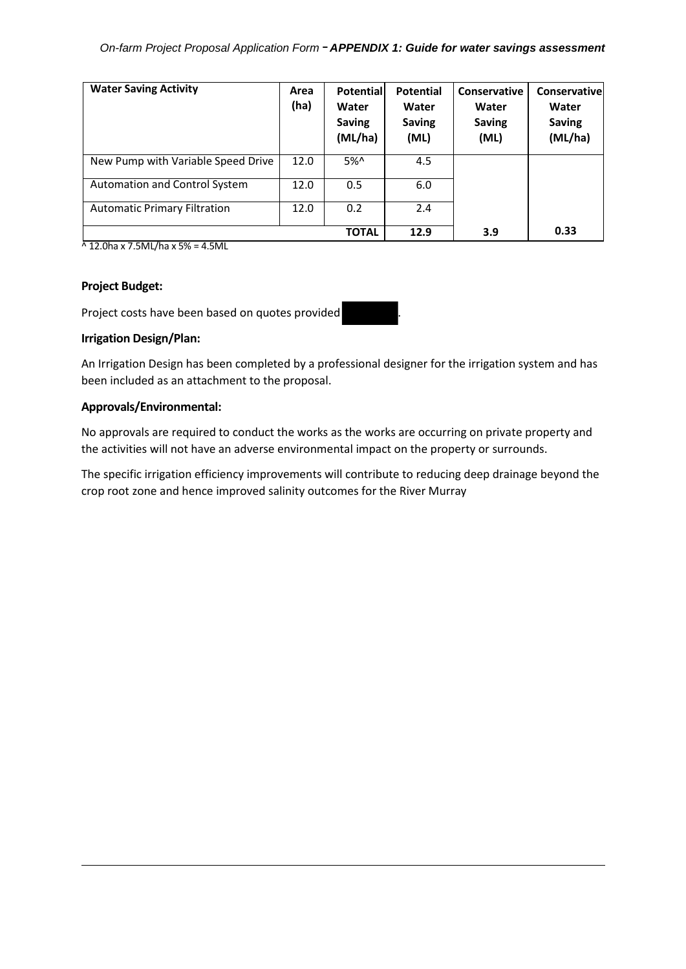## *On-farm Project Proposal Application Form* – *APPENDIX 1: Guide for water savings assessment*

| <b>Water Saving Activity</b>        | Area<br>(ha) | <b>Potential</b><br>Water<br><b>Saving</b><br>(ML/ha) | <b>Potential</b><br>Water<br><b>Saving</b><br>(ML) | Conservative<br>Water<br><b>Saving</b><br>(ML) | Conservativel<br>Water<br><b>Saving</b><br>(ML/ha) |
|-------------------------------------|--------------|-------------------------------------------------------|----------------------------------------------------|------------------------------------------------|----------------------------------------------------|
| New Pump with Variable Speed Drive  | 12.0         | 5%                                                    | 4.5                                                |                                                |                                                    |
| Automation and Control System       | 12.0         | 0.5                                                   | 6.0                                                |                                                |                                                    |
| <b>Automatic Primary Filtration</b> | 12.0         | 0.2                                                   | 2.4                                                |                                                |                                                    |
|                                     |              | <b>TOTAL</b>                                          | 12.9                                               | 3.9                                            | 0.33                                               |

 $\sqrt{12.0}$ ha x 7.5ML/ha x 5% = 4.5ML

#### **Project Budget:**

Project costs have been based on quotes provided

## **Irrigation Design/Plan:**

An Irrigation Design has been completed by a professional designer for the irrigation system and has been included as an attachment to the proposal.

## **Approvals/Environmental:**

No approvals are required to conduct the works as the works are occurring on private property and the activities will not have an adverse environmental impact on the property or surrounds.

The specific irrigation efficiency improvements will contribute to reducing deep drainage beyond the crop root zone and hence improved salinity outcomes for the River Murray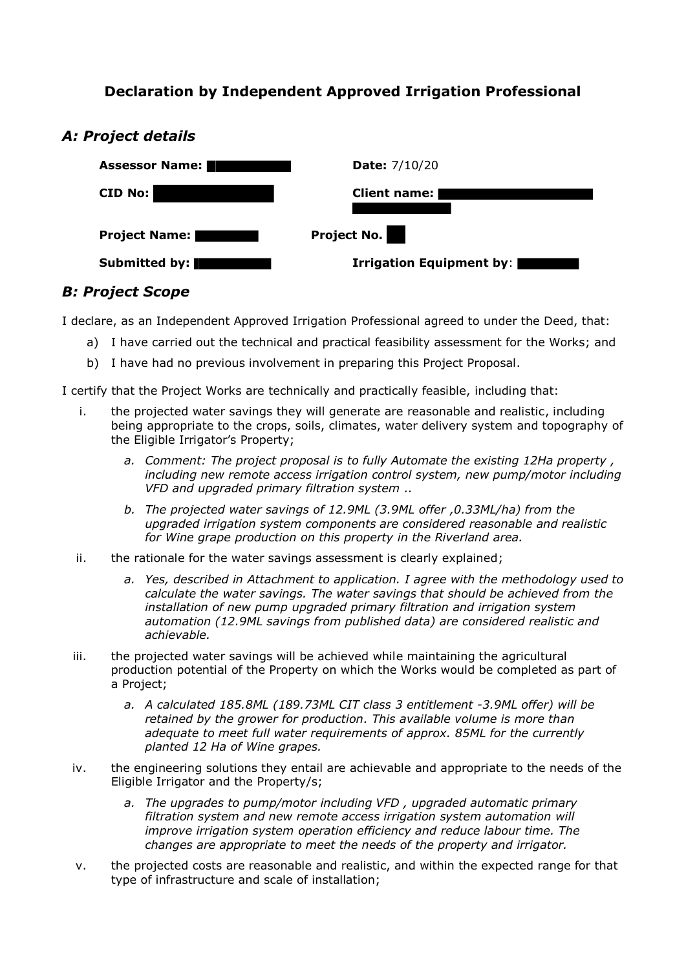# **Declaration by Independent Approved Irrigation Professional**



# *A: Project details*

# *B: Project Scope*

I declare, as an Independent Approved Irrigation Professional agreed to under the Deed, that:

- a) I have carried out the technical and practical feasibility assessment for the Works; and
- b) I have had no previous involvement in preparing this Project Proposal.

I certify that the Project Works are technically and practically feasible, including that:

- i. the projected water savings they will generate are reasonable and realistic, including being appropriate to the crops, soils, climates, water delivery system and topography of the Eligible Irrigator's Property;
	- *a. Comment: The project proposal is to fully Automate the existing 12Ha property , including new remote access irrigation control system, new pump/motor including VFD and upgraded primary filtration system ..*
	- *b. The projected water savings of 12.9ML (3.9ML offer ,0.33ML/ha) from the upgraded irrigation system components are considered reasonable and realistic for Wine grape production on this property in the Riverland area.*
- ii. the rationale for the water savings assessment is clearly explained;
	- *a. Yes, described in Attachment to application. I agree with the methodology used to calculate the water savings. The water savings that should be achieved from the installation of new pump upgraded primary filtration and irrigation system automation (12.9ML savings from published data) are considered realistic and achievable.*
- iii. the projected water savings will be achieved while maintaining the agricultural production potential of the Property on which the Works would be completed as part of a Project;
	- *a. A calculated 185.8ML (189.73ML CIT class 3 entitlement -3.9ML offer) will be retained by the grower for production. This available volume is more than adequate to meet full water requirements of approx. 85ML for the currently planted 12 Ha of Wine grapes.*
- iv. the engineering solutions they entail are achievable and appropriate to the needs of the Eligible Irrigator and the Property/s;
	- *a. The upgrades to pump/motor including VFD , upgraded automatic primary filtration system and new remote access irrigation system automation will improve irrigation system operation efficiency and reduce labour time. The changes are appropriate to meet the needs of the property and irrigator.*
- v. the projected costs are reasonable and realistic, and within the expected range for that type of infrastructure and scale of installation;